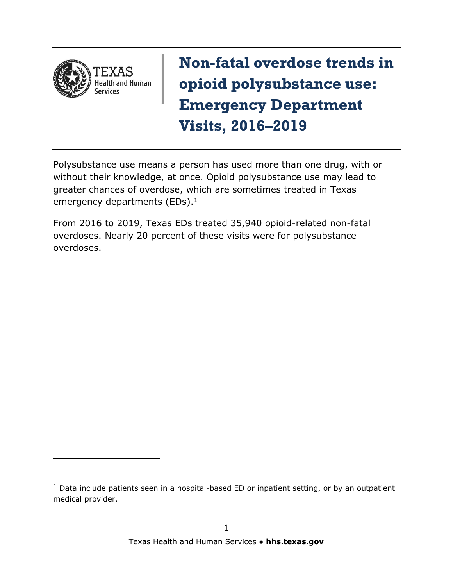

**Non-fatal overdose trends in opioid polysubstance use: Emergency Department Visits, 2016–2019**

Polysubstance use means a person has used more than one drug, with or without their knowledge, at once. Opioid polysubstance use may lead to greater chances of overdose, which are sometimes treated in Texas emergency departments (EDs). $<sup>1</sup>$ </sup>

From 2016 to 2019, Texas EDs treated 35,940 opioid-related non-fatal overdoses. Nearly 20 percent of these visits were for polysubstance overdoses.

 $1$  Data include patients seen in a hospital-based ED or inpatient setting, or by an outpatient medical provider.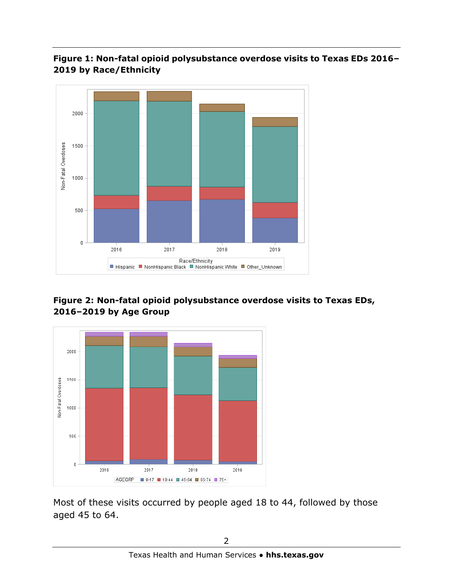







Most of these visits occurred by people aged 18 to 44, followed by those aged 45 to 64.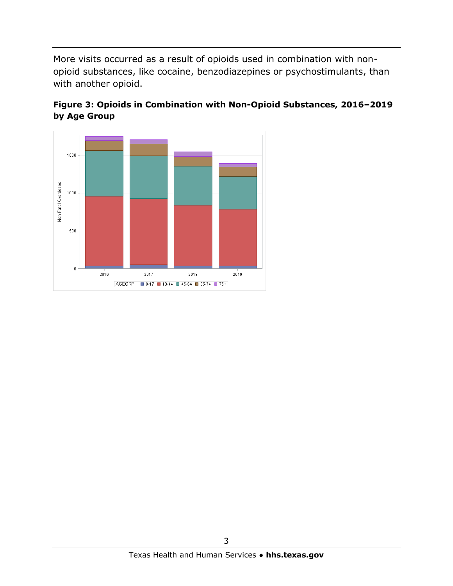More visits occurred as a result of opioids used in combination with nonopioid substances, like cocaine, benzodiazepines or psychostimulants, than with another opioid.